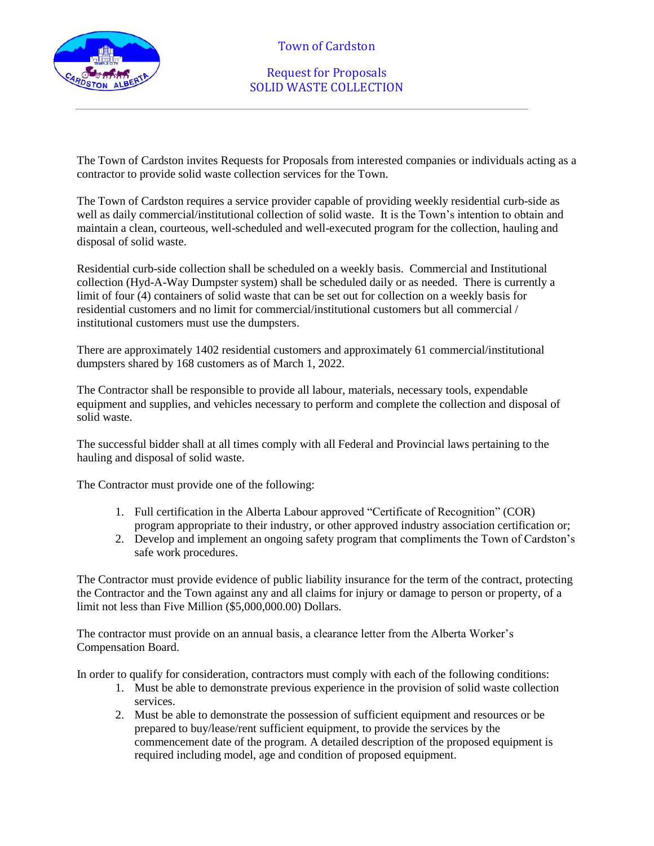

Request for Proposals SOLID WASTE COLLECTION

The Town of Cardston invites Requests for Proposals from interested companies or individuals acting as a contractor to provide solid waste collection services for the Town.

The Town of Cardston requires a service provider capable of providing weekly residential curb-side as well as daily commercial/institutional collection of solid waste. It is the Town's intention to obtain and maintain a clean, courteous, well-scheduled and well-executed program for the collection, hauling and disposal of solid waste.

Residential curb-side collection shall be scheduled on a weekly basis. Commercial and Institutional collection (Hyd-A-Way Dumpster system) shall be scheduled daily or as needed. There is currently a limit of four (4) containers of solid waste that can be set out for collection on a weekly basis for residential customers and no limit for commercial/institutional customers but all commercial / institutional customers must use the dumpsters.

There are approximately 1402 residential customers and approximately 61 commercial/institutional dumpsters shared by 168 customers as of March 1, 2022.

The Contractor shall be responsible to provide all labour, materials, necessary tools, expendable equipment and supplies, and vehicles necessary to perform and complete the collection and disposal of solid waste.

The successful bidder shall at all times comply with all Federal and Provincial laws pertaining to the hauling and disposal of solid waste.

The Contractor must provide one of the following:

- 1. Full certification in the Alberta Labour approved "Certificate of Recognition" (COR) program appropriate to their industry, or other approved industry association certification or;
- 2. Develop and implement an ongoing safety program that compliments the Town of Cardston's safe work procedures.

The Contractor must provide evidence of public liability insurance for the term of the contract, protecting the Contractor and the Town against any and all claims for injury or damage to person or property, of a limit not less than Five Million (\$5,000,000.00) Dollars.

The contractor must provide on an annual basis, a clearance letter from the Alberta Worker's Compensation Board.

In order to qualify for consideration, contractors must comply with each of the following conditions:

- 1. Must be able to demonstrate previous experience in the provision of solid waste collection services.
- 2. Must be able to demonstrate the possession of sufficient equipment and resources or be prepared to buy/lease/rent sufficient equipment, to provide the services by the commencement date of the program. A detailed description of the proposed equipment is required including model, age and condition of proposed equipment.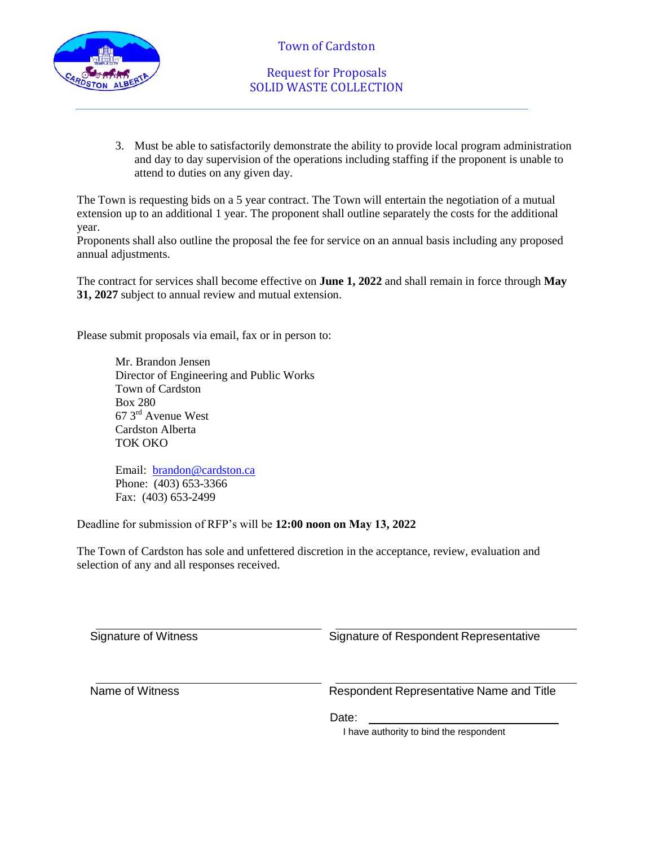

# Request for Proposals SOLID WASTE COLLECTION

3. Must be able to satisfactorily demonstrate the ability to provide local program administration and day to day supervision of the operations including staffing if the proponent is unable to attend to duties on any given day.

The Town is requesting bids on a 5 year contract. The Town will entertain the negotiation of a mutual extension up to an additional 1 year. The proponent shall outline separately the costs for the additional year.

Proponents shall also outline the proposal the fee for service on an annual basis including any proposed annual adjustments.

The contract for services shall become effective on **June 1, 2022** and shall remain in force through **May 31, 2027** subject to annual review and mutual extension.

Please submit proposals via email, fax or in person to:

Mr. Brandon Jensen Director of Engineering and Public Works Town of Cardston Box 280 67 3rd Avenue West Cardston Alberta TOK OKO

Email: [brandon@cardston.ca](mailto:brandon@cardston.ca) Phone: (403) 653-3366 Fax: (403) 653-2499

Deadline for submission of RFP's will be **12:00 noon on May 13, 2022** 

The Town of Cardston has sole and unfettered discretion in the acceptance, review, evaluation and selection of any and all responses received.

Signature of Witness Signature of Respondent Representative Name of Witness Respondent Representative Name and Title Date: I have authority to bind the respondent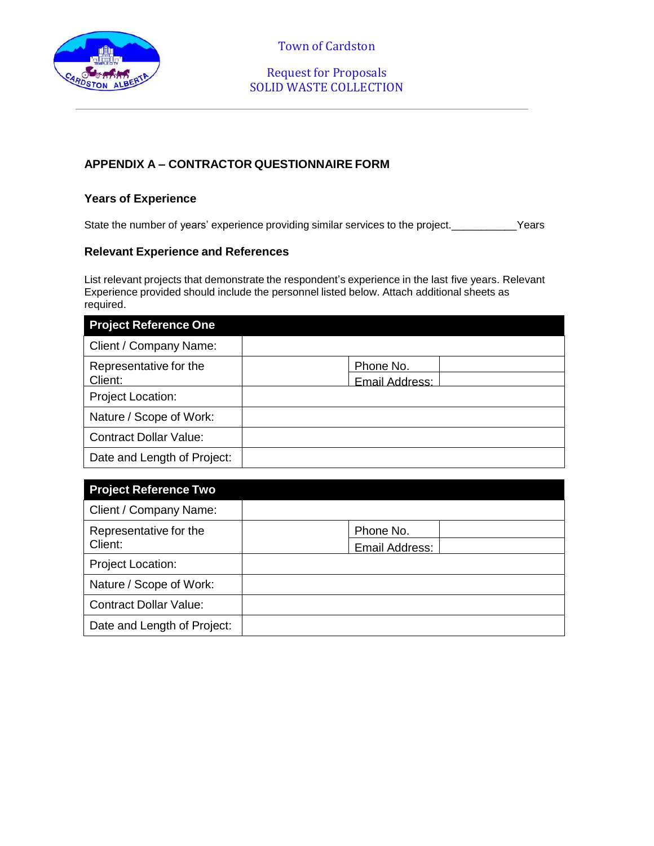

# Request for Proposals SOLID WASTE COLLECTION

## **APPENDIX A – CONTRACTOR QUESTIONNAIRE FORM**

### **Years of Experience**

State the number of years' experience providing similar services to the project. Premised and the project.

#### **Relevant Experience and References**

List relevant projects that demonstrate the respondent's experience in the last five years. Relevant Experience provided should include the personnel listed below. Attach additional sheets as required.

| <b>Project Reference One</b>  |                |  |
|-------------------------------|----------------|--|
| Client / Company Name:        |                |  |
| Representative for the        | Phone No.      |  |
| Client:                       | Email Address: |  |
| Project Location:             |                |  |
| Nature / Scope of Work:       |                |  |
| <b>Contract Dollar Value:</b> |                |  |
| Date and Length of Project:   |                |  |

| <b>Project Reference Two</b>      |                |  |
|-----------------------------------|----------------|--|
| Client / Company Name:            |                |  |
| Representative for the<br>Client: | Phone No.      |  |
|                                   | Email Address: |  |
| <b>Project Location:</b>          |                |  |
| Nature / Scope of Work:           |                |  |
| <b>Contract Dollar Value:</b>     |                |  |
| Date and Length of Project:       |                |  |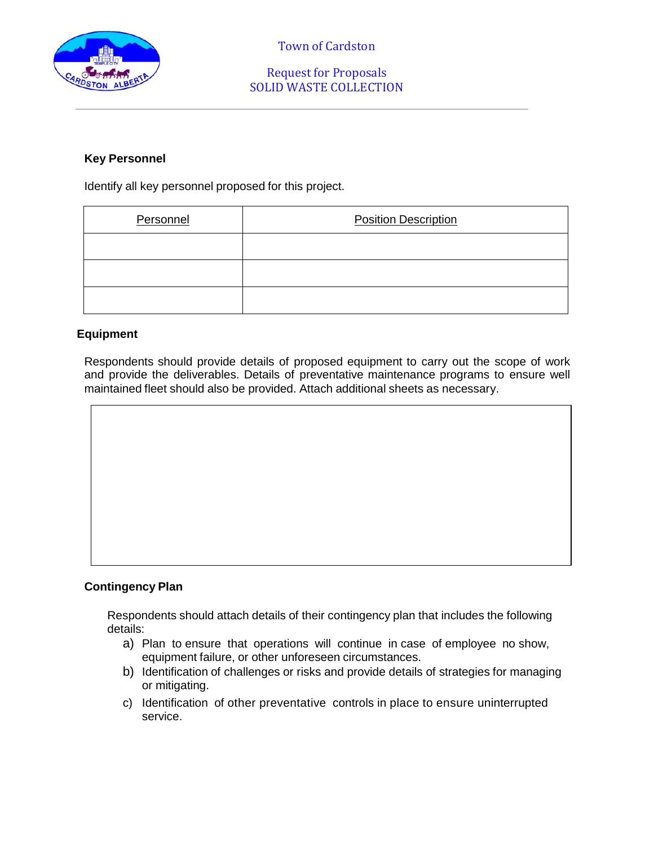

## Request for Proposals SOLID WASTE COLLECTION

### **Key Personnel**

Identify all key personnel proposed for this project.

| Personnel | <b>Position Description</b> |  |
|-----------|-----------------------------|--|
|           |                             |  |
|           |                             |  |
|           |                             |  |

### **Equipment**

Respondents should provide details of proposed equipment to carry out the scope of work and provide the deliverables. Details of preventative maintenance programs to ensure well maintained fleet should also be provided. Attach additional sheets as necessary.

#### **Contingency Plan**

Respondents should attach details of their contingency plan that includes the following details:

- a) Plan to ensure that operations will continue in case of employee no show, equipment failure, or other unforeseen circumstances.
- b) Identification of challenges or risks and provide details of strategies for managing or mitigating.
- c) Identification of other preventative controls in place to ensure uninterrupted service.